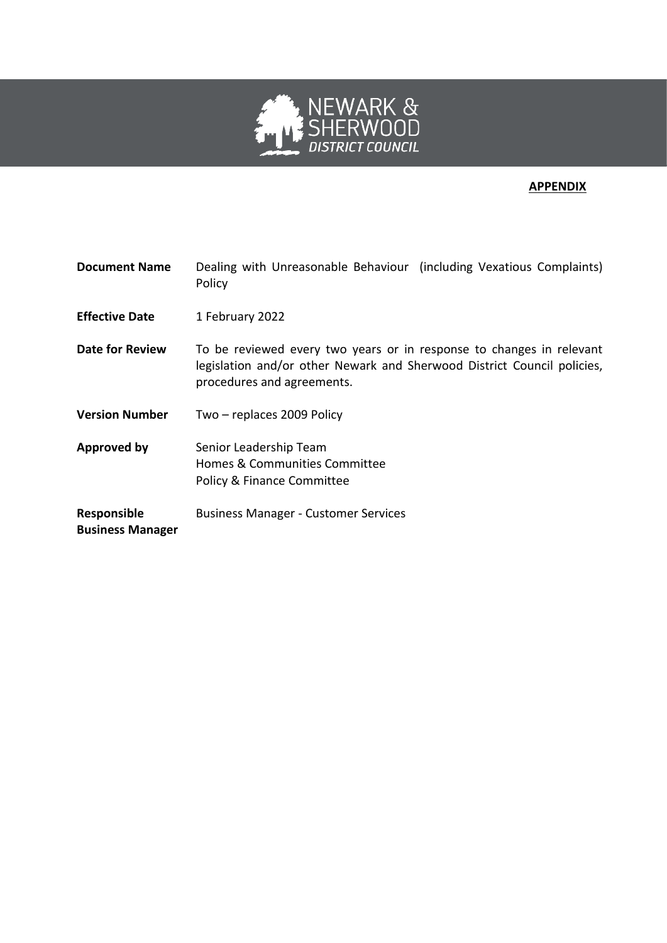

# **APPENDIX**

| <b>Document Name</b>                          | Dealing with Unreasonable Behaviour (including Vexatious Complaints)<br>Policy                                                                                                |
|-----------------------------------------------|-------------------------------------------------------------------------------------------------------------------------------------------------------------------------------|
| <b>Effective Date</b>                         | 1 February 2022                                                                                                                                                               |
| <b>Date for Review</b>                        | To be reviewed every two years or in response to changes in relevant<br>legislation and/or other Newark and Sherwood District Council policies,<br>procedures and agreements. |
| <b>Version Number</b>                         | Two - replaces 2009 Policy                                                                                                                                                    |
| <b>Approved by</b>                            | Senior Leadership Team<br>Homes & Communities Committee<br>Policy & Finance Committee                                                                                         |
| <b>Responsible</b><br><b>Business Manager</b> | <b>Business Manager - Customer Services</b>                                                                                                                                   |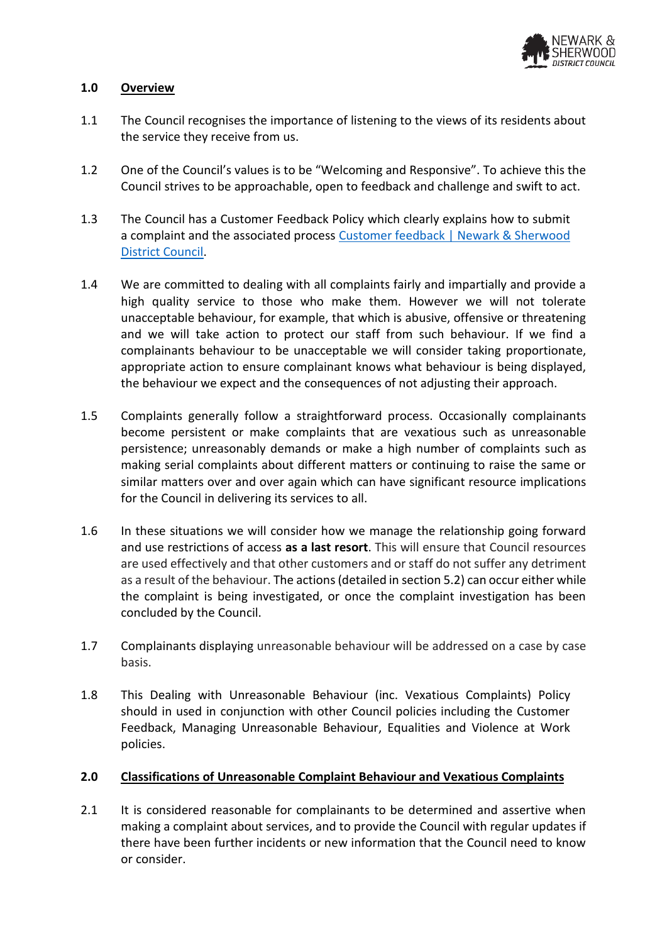

### **1.0 Overview**

- 1.1 The Council recognises the importance of listening to the views of its residents about the service they receive from us.
- 1.2 One of the Council's values is to be "Welcoming and Responsive". To achieve this the Council strives to be approachable, open to feedback and challenge and swift to act.
- 1.3 The Council has a Customer Feedback Policy which clearly explains how to submit a complaint and the associated process [Customer feedback | Newark & Sherwood](https://www.newark-sherwooddc.gov.uk/customerfeedback/)  [District Council.](https://www.newark-sherwooddc.gov.uk/customerfeedback/)
- 1.4 We are committed to dealing with all complaints fairly and impartially and provide a high quality service to those who make them. However we will not tolerate unacceptable behaviour, for example, that which is abusive, offensive or threatening and we will take action to protect our staff from such behaviour. If we find a complainants behaviour to be unacceptable we will consider taking proportionate, appropriate action to ensure complainant knows what behaviour is being displayed, the behaviour we expect and the consequences of not adjusting their approach.
- 1.5 Complaints generally follow a straightforward process. Occasionally complainants become persistent or make complaints that are vexatious such as unreasonable persistence; unreasonably demands or make a high number of complaints such as making serial complaints about different matters or continuing to raise the same or similar matters over and over again which can have significant resource implications for the Council in delivering its services to all.
- 1.6 In these situations we will consider how we manage the relationship going forward and use restrictions of access **as a last resort**. This will ensure that Council resources are used effectively and that other customers and or staff do not suffer any detriment as a result of the behaviour. The actions(detailed in section 5.2) can occur either while the complaint is being investigated, or once the complaint investigation has been concluded by the Council.
- 1.7 Complainants displaying unreasonable behaviour will be addressed on a case by case basis.
- 1.8 This Dealing with Unreasonable Behaviour (inc. Vexatious Complaints) Policy should in used in conjunction with other Council policies including the Customer Feedback, Managing Unreasonable Behaviour, Equalities and Violence at Work policies.

### **2.0 Classifications of Unreasonable Complaint Behaviour and Vexatious Complaints**

2.1 It is considered reasonable for complainants to be determined and assertive when making a complaint about services, and to provide the Council with regular updates if there have been further incidents or new information that the Council need to know or consider.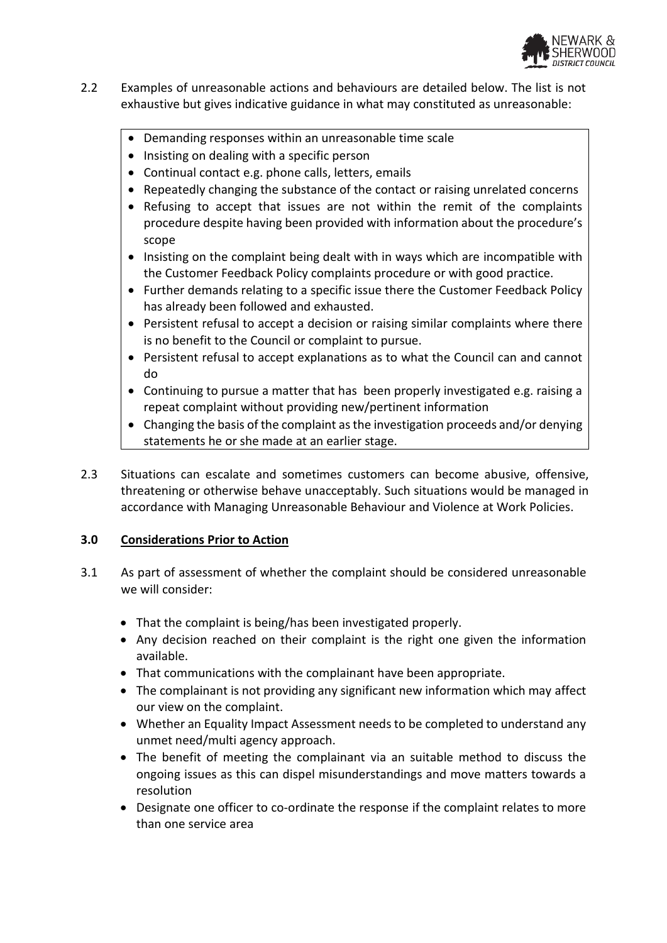

- 2.2 Examples of unreasonable actions and behaviours are detailed below. The list is not exhaustive but gives indicative guidance in what may constituted as unreasonable:
	- Demanding responses within an unreasonable time scale
	- Insisting on dealing with a specific person
	- Continual contact e.g. phone calls, letters, emails
	- Repeatedly changing the substance of the contact or raising unrelated concerns
	- Refusing to accept that issues are not within the remit of the complaints procedure despite having been provided with information about the procedure's scope
	- Insisting on the complaint being dealt with in ways which are incompatible with the Customer Feedback Policy complaints procedure or with good practice.
	- Further demands relating to a specific issue there the Customer Feedback Policy has already been followed and exhausted.
	- Persistent refusal to accept a decision or raising similar complaints where there is no benefit to the Council or complaint to pursue.
	- Persistent refusal to accept explanations as to what the Council can and cannot do
	- Continuing to pursue a matter that has been properly investigated e.g. raising a repeat complaint without providing new/pertinent information
	- Changing the basis of the complaint as the investigation proceeds and/or denying statements he or she made at an earlier stage.
- 2.3 Situations can escalate and sometimes customers can become abusive, offensive, threatening or otherwise behave unacceptably. Such situations would be managed in accordance with Managing Unreasonable Behaviour and Violence at Work Policies.

## **3.0 Considerations Prior to Action**

- 3.1 As part of assessment of whether the complaint should be considered unreasonable we will consider:
	- That the complaint is being/has been investigated properly.
	- Any decision reached on their complaint is the right one given the information available.
	- That communications with the complainant have been appropriate.
	- The complainant is not providing any significant new information which may affect our view on the complaint.
	- Whether an Equality Impact Assessment needs to be completed to understand any unmet need/multi agency approach.
	- The benefit of meeting the complainant via an suitable method to discuss the ongoing issues as this can dispel misunderstandings and move matters towards a resolution
	- Designate one officer to co-ordinate the response if the complaint relates to more than one service area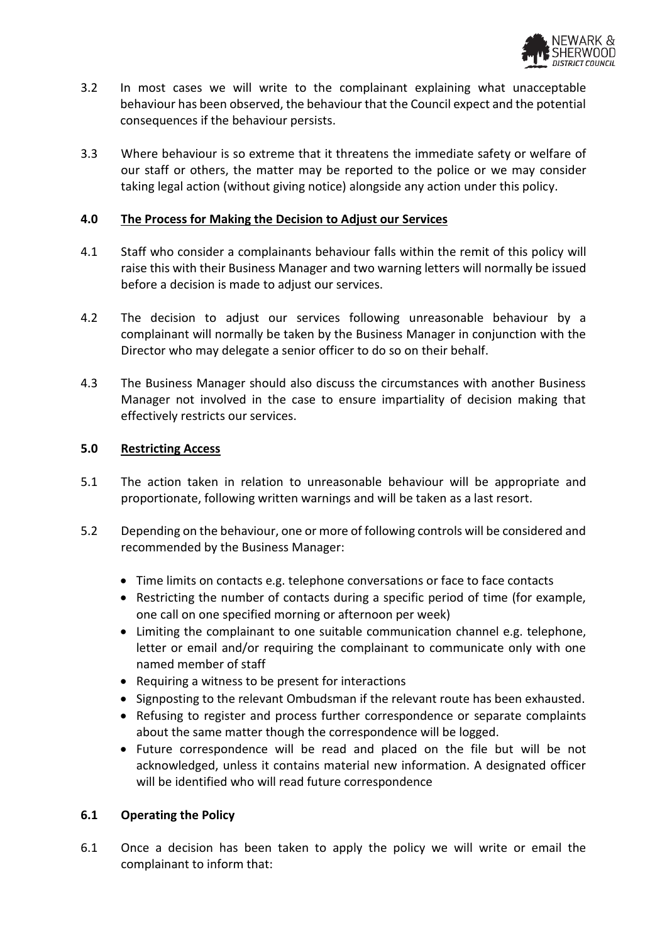

- 3.2 In most cases we will write to the complainant explaining what unacceptable behaviour has been observed, the behaviour that the Council expect and the potential consequences if the behaviour persists.
- 3.3 Where behaviour is so extreme that it threatens the immediate safety or welfare of our staff or others, the matter may be reported to the police or we may consider taking legal action (without giving notice) alongside any action under this policy.

### **4.0 The Process for Making the Decision to Adjust our Services**

- 4.1 Staff who consider a complainants behaviour falls within the remit of this policy will raise this with their Business Manager and two warning letters will normally be issued before a decision is made to adjust our services.
- 4.2 The decision to adjust our services following unreasonable behaviour by a complainant will normally be taken by the Business Manager in conjunction with the Director who may delegate a senior officer to do so on their behalf.
- 4.3 The Business Manager should also discuss the circumstances with another Business Manager not involved in the case to ensure impartiality of decision making that effectively restricts our services.

#### **5.0 Restricting Access**

- 5.1 The action taken in relation to unreasonable behaviour will be appropriate and proportionate, following written warnings and will be taken as a last resort.
- 5.2 Depending on the behaviour, one or more of following controls will be considered and recommended by the Business Manager:
	- Time limits on contacts e.g. telephone conversations or face to face contacts
	- Restricting the number of contacts during a specific period of time (for example, one call on one specified morning or afternoon per week)
	- Limiting the complainant to one suitable communication channel e.g. telephone, letter or email and/or requiring the complainant to communicate only with one named member of staff
	- Requiring a witness to be present for interactions
	- Signposting to the relevant Ombudsman if the relevant route has been exhausted.
	- Refusing to register and process further correspondence or separate complaints about the same matter though the correspondence will be logged.
	- Future correspondence will be read and placed on the file but will be not acknowledged, unless it contains material new information. A designated officer will be identified who will read future correspondence

### **6.1 Operating the Policy**

6.1 Once a decision has been taken to apply the policy we will write or email the complainant to inform that: